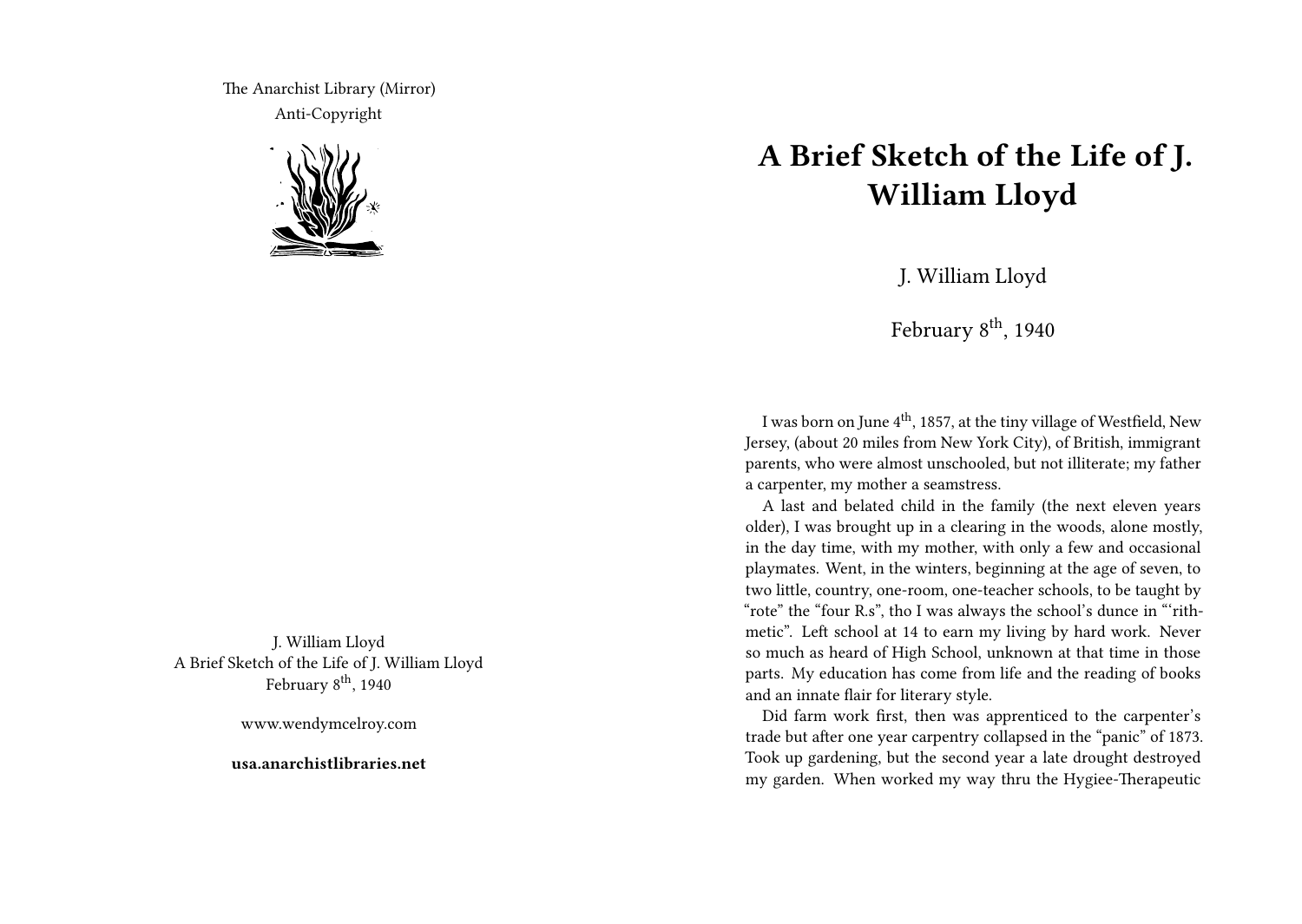The Anarchist Library (Mirror) Anti-Copyright



J. William Lloyd A Brief Sketch of the Life of J. William Lloyd February 8<sup>th</sup>, 1940

www.wendymcelroy.com

**usa.anarchistlibraries.net**

## **A Brief Sketch of the Life of J. William Lloyd**

J. William Lloyd

February  $8^{\text{th}}$ , 1940

I was born on June 4<sup>th</sup>, 1857, at the tiny village of Westfield, New Jersey, (about 20 miles from New York City), of British, immigrant parents, who were almost unschooled, but not illiterate; my father a carpenter, my mother a seamstress.

A last and belated child in the family (the next eleven years older), I was brought up in a clearing in the woods, alone mostly, in the day time, with my mother, with only a few and occasional playmates. Went, in the winters, beginning at the age of seven, to two little, country, one-room, one-teacher schools, to be taught by "rote" the "four R.s", tho I was always the school's dunce in "'rithmetic". Left school at 14 to earn my living by hard work. Never so much as heard of High School, unknown at that time in those parts. My education has come from life and the reading of books and an innate flair for literary style.

Did farm work first, then was apprenticed to the carpenter's trade but after one year carpentry collapsed in the "panic" of 1873. Took up gardening, but the second year a late drought destroyed my garden. When worked my way thru the Hygiee-Therapeutic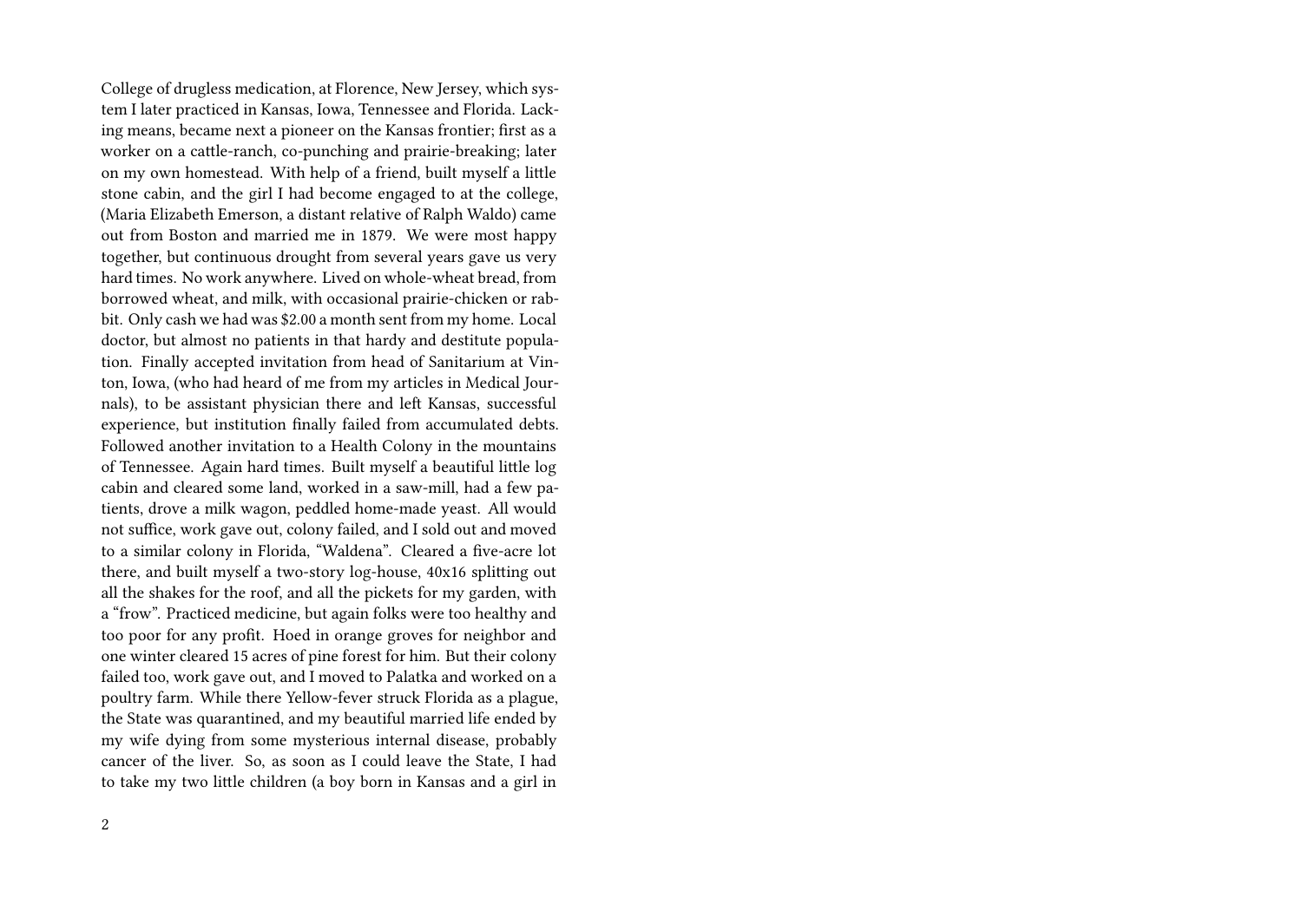College of drugless medication, at Florence, New Jersey, which system I later practiced in Kansas, Iowa, Tennessee and Florida. Lacking means, became next a pioneer on the Kansas frontier; first as a worker on a cattle-ranch, co-punching and prairie-breaking; later on my own homestead. With help of a friend, built myself a little stone cabin, and the girl I had become engaged to at the college, (Maria Elizabeth Emerson, a distant relative of Ralph Waldo) came out from Boston and married me in 1879. We were most happy together, but continuous drought from several years gave us very hard times. No work anywhere. Lived on whole-wheat bread, from borrowed wheat, and milk, with occasional prairie-chicken or rabbit. Only cash we had was \$2.00 a month sent from my home. Local doctor, but almost no patients in that hardy and destitute population. Finally accepted invitation from head of Sanitarium at Vinton, Iowa, (who had heard of me from my articles in Medical Journals), to be assistant physician there and left Kansas, successful experience, but institution finally failed from accumulated debts. Followed another invitation to a Health Colony in the mountains of Tennessee. Again hard times. Built myself a beautiful little log cabin and cleared some land, worked in a saw-mill, had a few patients, drove a milk wagon, peddled home-made yeast. All would not suffice, work gave out, colony failed, and I sold out and moved to a similar colony in Florida, "Waldena". Cleared a five-acre lot there, and built myself a two-story log-house, 40x16 splitting out all the shakes for the roof, and all the pickets for my garden, with a "frow". Practiced medicine, but again folks were too healthy and too poor for any profit. Hoed in orange groves for neighbor and one winter cleared 15 acres of pine forest for him. But their colony failed too, work gave out, and I moved to Palatka and worked on a poultry farm. While there Yellow-fever struck Florida as a plague, the State was quarantined, and my beautiful married life ended by my wife dying from some mysterious internal disease, probably cancer of the liver. So, as soon as I could leave the State, I had to take my two little children (a boy born in Kansas and a girl in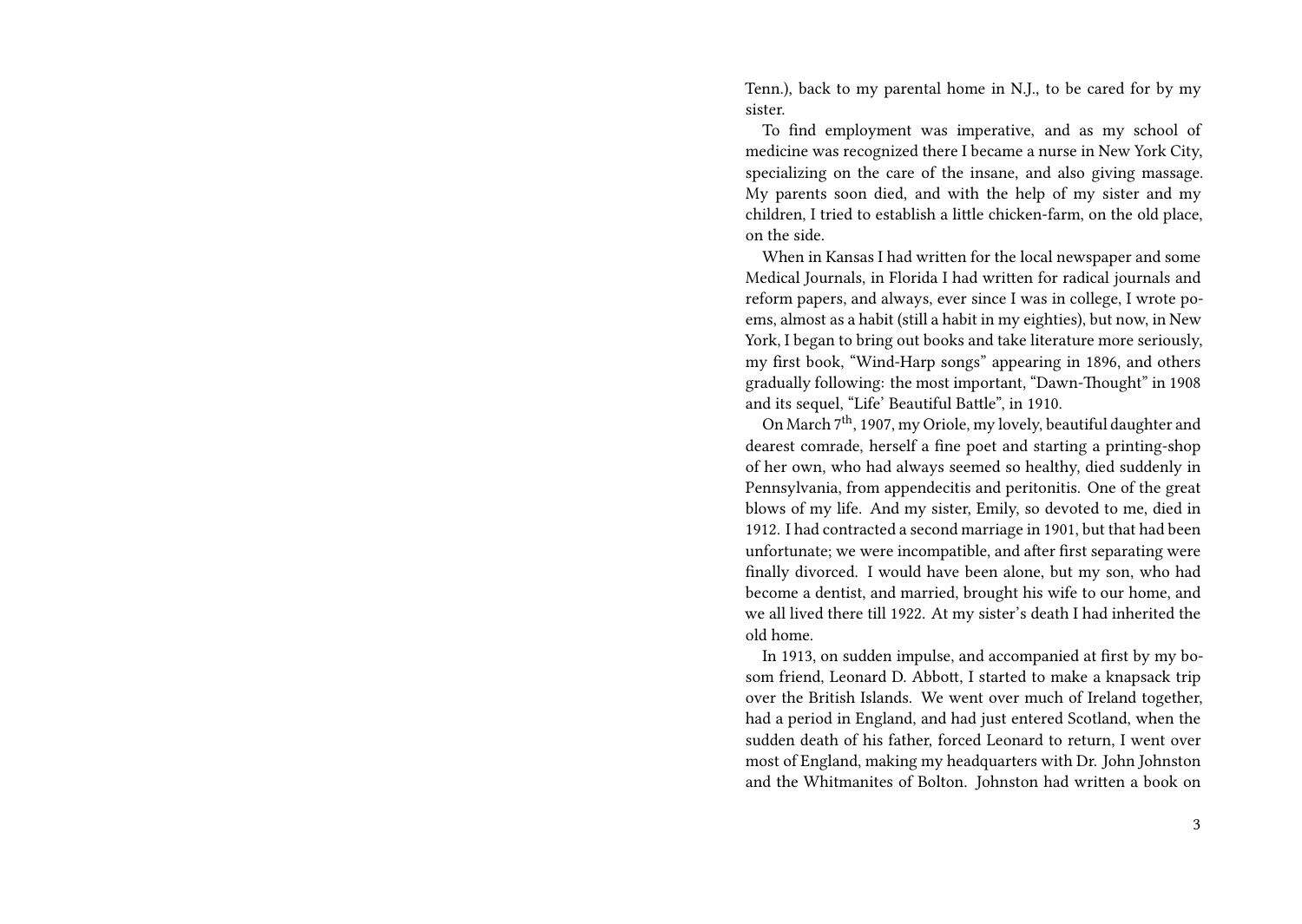Tenn.), back to my parental home in N.J., to be cared for by my sister.

To find employment was imperative, and as my school of medicine was recognized there I became a nurse in New York City, specializing on the care of the insane, and also giving massage. My parents soon died, and with the help of my sister and my children, I tried to establish a little chicken-farm, on the old place, on the side.

When in Kansas I had written for the local newspaper and some Medical Journals, in Florida I had written for radical journals and reform papers, and always, ever since I was in college, I wrote poems, almost as a habit (still a habit in my eighties), but now, in New York, I began to bring out books and take literature more seriously, my first book, "Wind-Harp songs" appearing in 1896, and others gradually following: the most important, "Dawn-Thought" in 1908 and its sequel, "Life' Beautiful Battle", in 1910.

On March  $7<sup>th</sup>$ , 1907, my Oriole, my lovely, beautiful daughter and dearest comrade, herself a fine poet and starting a printing-shop of her own, who had always seemed so healthy, died suddenly in Pennsylvania, from appendecitis and peritonitis. One of the great blows of my life. And my sister, Emily, so devoted to me, died in 1912. I had contracted a second marriage in 1901, but that had been unfortunate; we were incompatible, and after first separating were finally divorced. I would have been alone, but my son, who had become a dentist, and married, brought his wife to our home, and we all lived there till 1922. At my sister's death I had inherited the old home.

In 1913, on sudden impulse, and accompanied at first by my bosom friend, Leonard D. Abbott, I started to make a knapsack trip over the British Islands. We went over much of Ireland together, had a period in England, and had just entered Scotland, when the sudden death of his father, forced Leonard to return, I went over most of England, making my headquarters with Dr. John Johnston and the Whitmanites of Bolton. Johnston had written a book on